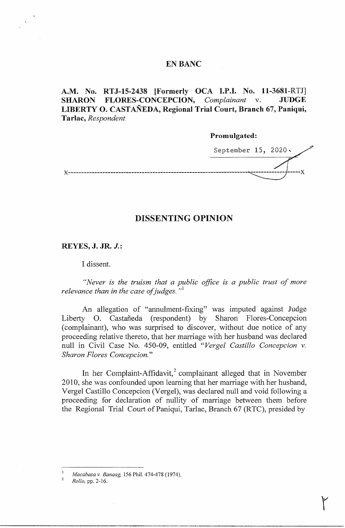### **EN BANC**

**A.M. No. RTJ-15-2438 [Formerly OCA I.P.I. No. 11-3681-RTJ] SHARON FLORES-CONCEPCION,** *Complainant* v. **JUDGE LIBERTY 0. CASTANEDA, Regional Trial Court, Branch 67, Paniqui, Tarlac,** *Respondent.* 

**Promulgated:** 

September 15, 2020. x--------------------------------------------------------------------""-------------t-----x

# **DISSENTING OPINION**

**REYES, J. JR.** *J.:* 

I dissent.

*"Never is the truism that a public office is a public trust of more relevance than in the case of judges.* "<sup>1</sup>

An allegation of "annulment-fixing" was imputed against Judge Liberty O. Castañeda (respondent) by Sharon Flores-Concepcion ( complainant), who was surprised to discover, without due notice of any proceeding relative thereto, that her marriage with her husband was declared null in Civil Case No. 450-09, entitled *"Verge! Castillo Concepcion v. Sharon Flores Concepcion."* 

In her Complaint-Affidavit,<sup>2</sup> complainant alleged that in November 2010, she was confounded upon learning that her marriage with her husband, Vergel Castillo Concepcion (Vergel), was declared null and void following a proceeding for declaration of nullity of marriage between them before the Regional Trial Court of Paniqui, Tarlac, Branch 67 (RTC), presided by

r

<sup>1</sup>*Macabasa v. Banaag,* 156 Phil. 474-478 (1974).

<sup>2</sup>*Rollo,* pp. 2-16.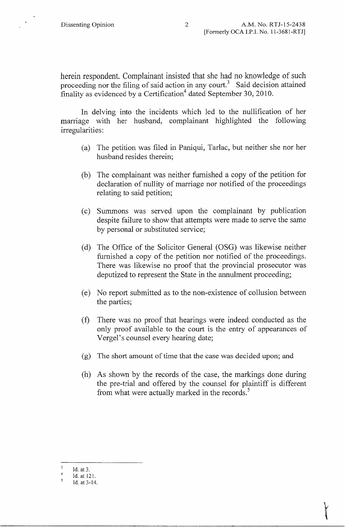herein respondent. Complainant insisted that she had no knowledge of such proceeding nor the filing of said action in any court.<sup>3</sup> Said decision attained finality as evidenced by a Certification<sup>4</sup> dated September 30, 2010.

In delving into the incidents which led to the nullification of her marriage with her husband, complainant highlighted the following irregularities:

- (a) The petition was filed in Paniqui, Tarlac, but neither she nor her husband resides therein;
- (b) The complainant was neither furnished a copy of the petition for declaration of nullity of marriage nor notified of the proceedings relating to said petition;
- ( c) Summons was served upon the complainant by publication despite failure to show that attempts were made to serve the same by personal or substituted service;
- ( d) The Office of the Solicitor General (OSG) was likewise neither furnished a copy of the petition nor notified of the proceedings. There was likewise no proof that the provincial prosecutor was deputized to represent the State in the annulment proceeding;
- ( e) No report submitted as to the non-existence of collusion between the parties;
- ( f) There was no proof that hearings were indeed conducted as the only proof available to the court is the entry of appearances of Vergel's counsel every hearing date;
- (g) The short amount of time that the case was decided upon; and
- (h) As shown by the records of the case, the markings done during the pre-trial and offered by the counsel for plaintiff is different from what were actually marked in the records.<sup>5</sup>

t

 $\overline{3}$ Id. at 3.

 $\overline{4}$ Id. at 121.

 $\mathfrak{s}$ Id. at 3-14.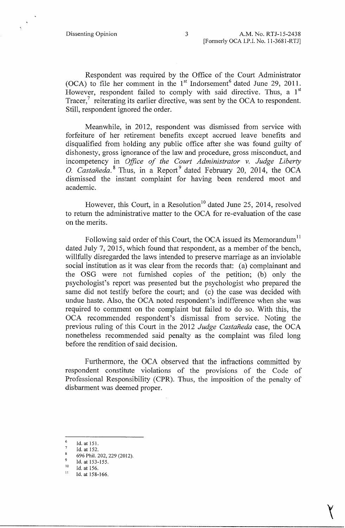Respondent was required by the Office of the Court Administrator (OCA) to file her comment in the  $1<sup>st</sup>$  Indorsement<sup>6</sup> dated June 29, 2011. However, respondent failed to comply with said directive. Thus, a  $1<sup>st</sup>$ Tracer, $\frac{7}{1}$  reiterating its earlier directive, was sent by the OCA to respondent. Still, respondent ignored the order.

Meanwhile, in 2012, respondent was dismissed from service with forfeiture of her retirement benefits except accrued leave benefits and disqualified from holding any public office after she was found guilty of dishonesty, gross ignorance of the law and procedure, gross misconduct, and incompetency in *Office of the Court Administrator v. Judge Liberty*  0. *Castaneda.* 8 Thus, in a Report 9 dated February 20, 2014, the OCA dismissed the instant complaint for having been rendered moot and academic.

However, this Court, in a Resolution<sup>10</sup> dated June 25, 2014, resolved to return the administrative matter to the OCA for re-evaluation of the case on the merits.

Following said order of this Court, the OCA issued its Memorandum<sup>11</sup> dated July 7, 2015, which found that respondent, as a member of the bench, willfully disregarded the laws intended to preserve marriage as an inviolable social institution as it was clear from the records that: (a) complainant and the OSG were not furnished copies of the petition; (b) only the psychologist's report was presented but the psychologist who prepared the same did not testify before the court; and (c) the case was decided with undue haste. Also, the OCA noted respondent's indifference when she was required to comment on the complaint but failed to do so. With this, the OCA recommended respondent's qismissal from service. Noting the previous ruling of this Court in the 2012 *Judge Castaneda* case, the OCA nonetheless recommended said penalty as the complaint was filed long before the rendition of said decision.

Furthennore, the OCA observed that the infractions committed by respondent constitute violations of the provisions of the Code of Professional Responsibility (CPR). Thus, the imposition of the penalty of disbarment was deemed proper.

 $\frac{1}{\sqrt{1-\frac{1}{2}}}$ 

 $6$  Id. at 151.

 $^7$  Id. at 152.

 $8696$  Phil. 202, 229 (2012).

 $^{9}$  Id. at 153-155.

 $^{10}$  Id. at 156.

 $11$  Id. at 158-166.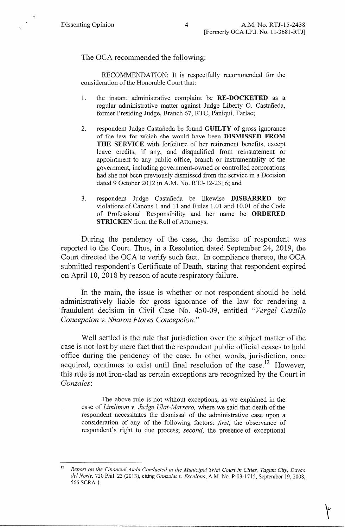The OCA recommended the following:

RECOMMENDATION: It is respectfully recommended for the consideration of the Honorable Court that:

- 1. the instant administrative complaint be **RE-DOCKETED** as a regular administrative matter against Judge Liberty 0. Castaneda, former Presiding Judge, Branch 67, RTC, Paniqui, Tarlac;
- 2. respondent Judge Castaneda be found **GUILTY** of gross ignorance of the law for which she would have been **DISMISSED FROM THE SERVICE** with forfeiture of her retirement benefits, except leave credits, if any, and disqualified from reinstatement or appointment to any public office, branch or instrumentality of the government, including government-owned or controlled corporations had she not been previously dismissed from the service in a Decision dated 9 October 2012 in A.M. No. RTJ-12-2316; and
- 3. respondent Judge Castaneda be likewise **DISBARRED** for violations of Canons 1 and 11 and Rules 1.01 and 10.01 of the Code of Professional Responsibility and her name be **ORDERED STRICKEN** from the Roll of Attorneys.

During the pendency of the case, the demise of respondent was reported to the Court. Thus, in a Resolution dated September 24, 2019, the Court directed the OCA to verify such fact. In compliance thereto, the OCA submitted respondent's Certificate of Death, stating that respondent expired on April 10, 2018 by reason of acute respiratory failure.

In the main, the issue is whether or not respondent should be held administratively liable for gross ignorance of the law for rendering a fraudulent decision in Civil Case No. 450-09, entitled *"Verge! Castillo Concepcion v. Sharon Flores Concepcion."* 

Well settled is the rule that jurisdiction over the subject matter of the case is not lost by mere fact that the respondent public official ceases to hold office during the pendency of the case. In other words, jurisdiction, once acquired, continues to exist until final resolution of the case.<sup>12</sup> However, this rule is not iron-clad as certain exceptions are recognized by the Court in *Gonzales:* 

The above rule is not without exceptions, as we explained in the case of *Limliman v. Judge Ulat-Marrero,* where we said that death of the respondent necessitates the dismissal of the administrative case upon a consideration of any of the following factors: *first,* the observance of respondent's right to due process; *second,* the presence of exceptional

r

<sup>12</sup>*Report on the Financial Audit Conducted in the Municipal Trial Court in Cities, Tagum City, Davao def Norte,* 720 Phil. 23 (2013), citing *Gonzales v. Escalona,* A.M. No. P-03-1715, September 19, 2008, 566 SCRA 1.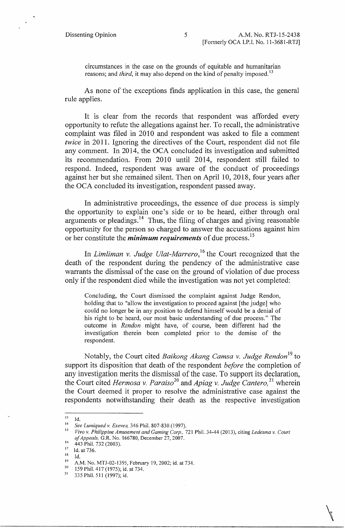.,

circumstances in the case on the grounds of equitable and humanitarian reasons; and *third*, it may also depend on the kind of penalty imposed.<sup>13</sup>

As none of the exceptions finds application in this case, the general rule applies.

It is clear from the records that respondent was afforded every opportunity to refute the allegations against her. To recall, the administrative complaint was filed in 2010 and respondent was asked to file a comment *twice* in 2011. Ignoring the directives of the Court, respondent did not file any comment. In 2014, the OCA concluded its investigation and submitted its recommendation. From 2010 until 2014, respondent still failed to respond. Indeed, respondent was aware of the conduct of proceedings against her but she remained silent. Then on April 10, 2018, four years after the OCA concluded its investigation, respondent passed away.

In administrative proceedings, the essence of due process is simply the opportunity to explain one's side or to be heard, either through oral arguments or pleadings.<sup>14</sup> Thus, the filing of charges and giving reasonable opportunity for the person so charged to answer the accusations against him or her constitute the *minimum requirements* of due process. <sup>15</sup>

In *Limliman v. Judge Ulat-Marrero*,<sup>16</sup> the Court recognized that the death of the respondent during the pendency of the administrative case warrants the dismissal of the case on the ground of violation of due process only if the respondent died while the investigation was not yet completed:

Concluding, the Court dismissed the complaint against Judge Rendon, holding that to "allow the investigation to proceed against [the judge] who could no longer be in any position to defend himself would be a denial of his right to be heard, our most basic understanding of due process." The outcome in *Rendon* might have, of course, been different had the investigation therein been completed prior to the demise of the respondent.

Notably, the Court cited *Baikong Akang Camsa v. Judge Rendon*<sup>19</sup> to support its disposition that death of the respondent *before* the completion of any investigation merits the dismissal of the case. To support its declaration, the Court cited *Hermosa v. Paraiso*<sup>20</sup> and *Apiag v. Judge Cantero*,<sup>21</sup> wherein the Court deemed it proper to resolve the administrative case against the respondents notwithstanding their death as the respective investigation

 $\mathbb{A}$ 

 $^{13}$  Id.

<sup>14</sup>*See lumiqued v. Exevea,* 346 Phil. 807-830 (1997).

<sup>15</sup>*Vivo v. Philippine Amusement and Gaming Corp.,* 721 Phil. 34-44 (2013), citing *Ledesma v. Court of Appeals,* G.R. No. 166780, December 27, 2007.

 $^{16}$  443 Phil. 732 (2003).

 $17$  1d. at 736.

is Id.

<sup>&</sup>lt;sup>19</sup> A.M. No. MTJ-02-1395, February 19, 2002; id. at 734.

<sup>&</sup>lt;sup>20</sup> 159 Phil. 417 (1975); id. at 734.<br><sup>21</sup> 235 Phil. 511 (1997): id.

<sup>21</sup>335 Phil. 511 (1997); id.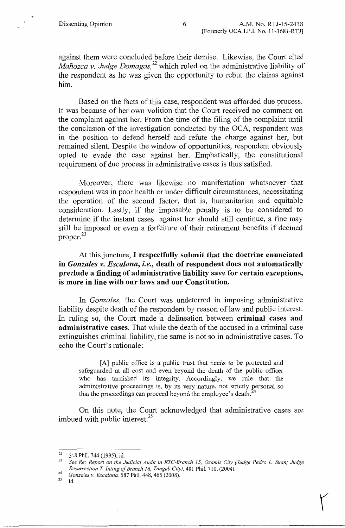against them were concluded before their demise. Likewise, the Court cited *Manozca v. Judge Domagas,* 22 which ruled on the administrative liability of the respondent as he was given the opportunity to rebut the claims against him.

Based on the facts of this case, respondent was afforded due process. It was because of her own volition that the Court received no comment on the complaint against her. From the time of the filing of the complaint until the conclusion of the investigation conducted by the OCA, respondent was in the position to defend herself and refute the charge against her, but remained silent. Despite the window of opportunities, respondent obviously opted to evade the case against her. Emphatically, the constitutional requirement of due process in administrative cases is thus satisfied.

Moreover, there was likewise no manifestation whatsoever that respondent was in poor health or under difficult circumstances, necessitating the operation of the second factor, that is, humanitarian and equitable consideration. Lastly, if the imposable penalty is to be considered to determine if the instant cases against her should still continue, a fine may still be imposed or even a forfeiture of their retirement benefits if deemed proper.<sup>23</sup>

# At this juncture, I **respectfully submit that the doctrine enunciated in** *Gonzales v. Escalona, i.e.,* **death of respondent does not automatically preclude a finding of administrative liability save for certain exceptions, is more in line with our laws and our Constitution.**

In *Gonzales,* the Court was undeterred in imposing administrative liability despite death of the respondent by reason of law and public interest. In ruling so, the Court made a delineation between **criminal cases and administrative cases.** That while the death of the accused in a criminal case extinguishes criminal liability, the same is not so in administrative cases. To echo the Court's rationale:

[A] public office is a public trust that needs to be protected and safeguarded at all cost and even beyond the death of the public officer who has tarnished its integrity. Accordingly, we rule that the administrative proceedings is, by its very nature, not strictly personal so that the proceedings can proceed beyond the employee's death. $<sup>2</sup>$ </sup>

On this note, the Court acknowledged that administrative cases are imbued with public interest.<sup>25</sup>

 $\left( \begin{array}{c} 1 \ 1 \end{array} \right)$ 

 $^{25}$  Id.

 $^{22}$  318 Phil. 744 (1995); id.

<sup>23</sup>*See Re: Report on the Judicial Audit in RTC-Branch 15, Ozamiz City (Judge Pedro* L. *Suan; Judge Resurrection T. JntingofBranch 16, Tangub City),* 481 Phil. 710, (2004).

<sup>24</sup>*Gonzales v. Escalona,* 587 Phil. 448, 465 (2008).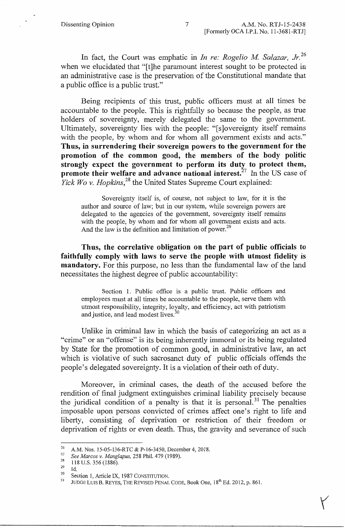In fact, the Court was emphatic in *In re: Rogelio M Salazar, Jr.* <sup>26</sup> when we elucidated that "[t]he paramount interest sought to be protected in an administrative case is the preservation of the Constitutional mandate that a public office is a public trust."

Being recipients of this trust, public officers must at all times be accountable to the people. This is rightfully so because the people, as true holders of sovereignty, merely delegated the same to the government. Ultimately, sovereignty lies with the people: "[s]overeignty itself remains with the people, by whom and for whom all government exists and acts." **Thus, in surrendering their sovereign powers to the government for the promotion of the common good, the members of the body politic strongly expect the government to perform its duty to protect them, promote their welfare and advance national interest.<sup>27</sup> In the US case of** *Yick Wo v. Hopkins*<sup>28</sup>, the United States Supreme Court explained:

Sovereignty itself is, of course, not subject to law, for it is the author and source of law; but in our system, while sovereign powers are delegated to the agencies of the government, sovereignty itself remains with the people, by whom and for whom all government exists and acts. And the law is the definition and limitation of power.<sup>29</sup>

**Thus, the correlative obligation on the part of public officials to faithfully comply with laws to serve the people with utmost fidelity is mandatory.** For this purpose, no less than the fundamental law of the land necessitates the highest degree of public accountability:

Section 1. Public office is a public trust. Public officers and employees must at all times be accountable to the people, serve them with utmost responsibility, integrity, loyalty, and efficiency, act with patriotism and justice, and lead modest lives.<sup>30</sup>

Unlike in criminal law in which the basis of categorizing an act as a "crime" or an "offense" is its being inherently immoral or its being regulated by State for the promotion of common good, in administrative law, an act which is violative of such sacrosanct duty of public officials offends the people's delegated sovereignty. It is a violation of their oath of duty.

Moreover, in criminal cases, the death of the accused before the rendition of final judgment extinguishes criminal liability precisely because the juridical condition of a penalty is that it is personal.<sup>31</sup> The penalties imposable upon persons convicted of crimes affect one's right to life and liberty, consisting of deprivation or restriction of their freedom or deprivation of rights or even death. Thus, the gravity and severance of such

<sup>&</sup>lt;sup>26</sup> A.M. Nos. 15-05-136-RTC & P-16-3450, December 4, 2018.

<sup>27</sup>*See Marcos v. Manglapus,* 258 Phil. 479 (1989).

 $\frac{28}{29}$  118 U.S. 356 (1886).

 $^{29}$  Id.

 $30$  Section 1, Article IX, 1987 CONSTITUTION.

JUDGE LUIS B. REYES, THE REVISED PENAL CODE, Book One, 18<sup>th</sup> Ed. 2012, p. 861.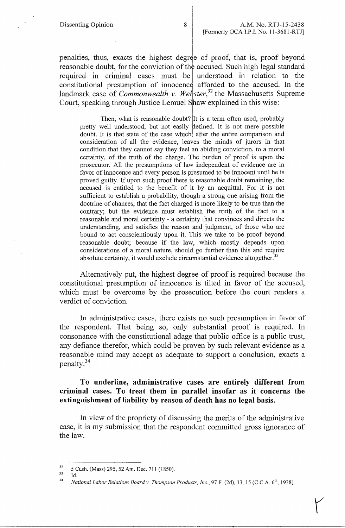penalties, thus, exacts the highest degree of proof, that is, proof beyond reasonable doubt, for the conviction of the accused. Such high legal standard required in criminal cases must be understood in relation to the constitutional presumption of innocence afforded to the accused. In the landmark case of *Commonwealth v. Webster*,<sup>32</sup> the Massachusetts Supreme Court, speaking through Justice Lemuel **Slaw** explained in this wise:

Then, what is reasonable doubt? It is a term often used, probably pretty well understood, but not easily defined. It is not mere possible doubt. It is that state of the case which, after the entire comparison and consideration of all the evidence, leaves the minds of jurors in that condition that they cannot say they feel an abiding conviction, to a moral certainty, of the truth of the charge. The burden of proof is upon the prosecutor. All the presumptions of law independent of evidence are in favor of innocence and every person is presumed to be innocent until he is proved guilty. If upon such proof there is reasonable doubt remaining, the accused is entitled to the benefit of it by an acquittal. For it is not sufficient to establish a probability, though a strong one arising from the doctrine of chances, that the fact charged is more likely to be true than the contrary; but the evidence must establish the truth of the fact to a reasonable and moral certainty - a certainty that convinces and directs the understanding, and satisfies the reason and judgment, of those who are bound to act conscientiously upon it. This we take to be proof beyond reasonable doubt; because if the law, which mostly depends upon considerations of a moral nature, should go further than this and require absolute certainty, it would exclude circumstantial evidence altogether.<sup>33</sup>

Alternatively put, the highest degree of proof is required because the constitutional presumption of innocence is tilted in favor of the accused, which must be overcome by the prosecution before the court renders a verdict of conviction.

In administrative cases, there exists no such presumption in favor of the respondent. That being so, only substantial proof is required. In consonance with the constitutional adage that public office is a public trust, any defiance therefor, which could be proven by such relevant evidence as a reasonable mind may accept as adequate to support a conclusion, exacts a penalty. <sup>34</sup>

## **To underline, administrative** cases **are entirely different from criminal cases. To treat them in parallel insofar as it concerns the extinguishment of liability by reason of death has no legal basis.**

In view of the propriety of discussing the merits of the administrative case, it is my submission that the respondent committed gross ignorance of the law.

<sup>33</sup> Id.

 $\mathcal{V}$ 

 $\frac{32}{33}$  5 Cush. (Mass) 295, 52 Am. Dec. 711 (1850).

<sup>&</sup>lt;sup>34</sup> National Labor Relations Board v. Thompson Products, Inc., 97 F. (2d), 13, 15 (C.C.A. 6<sup>th</sup>, 1938).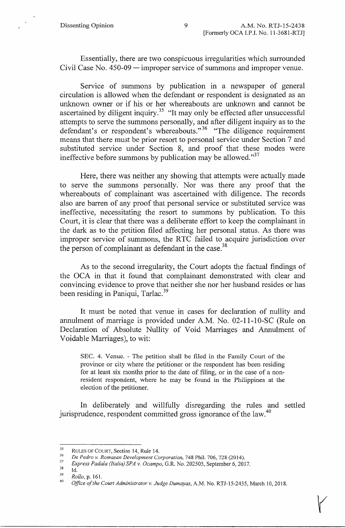Essentially, there are two conspicuous irregularities which surrounded Civil Case No.  $450-09$  — improper service of summons and improper venue.

Service of summons by publication in a newspaper of general circulation is allowed when the defendant or respondent is designated as an unknown owner or if his or her whereabouts are unknown and cannot be ascertained by diligent inquiry.<sup>35</sup> "It may only be effected after unsuccessful attempts to serve the summons personally, and after diligent inquiry as to the defendant's or respondent's whereabouts."<sup>36</sup> "The diligence requirement means that there must be prior resort to personal service under Section 7 and substituted service under Section 8, and proof that these modes were ineffective before summons by publication may be allowed."<sup>37</sup>

Here, there was neither any showing that attempts were actually made to serve the summons personally. Nor was there any proof that the whereabouts of complainant was ascertained with diligence. The records also are barren of any proof that personal service or substituted service was ineffective, necessitating the resort to summons by publication. To this Court, it is clear that there was a deliberate effort to keep the complainant in the dark as to the petition filed affecting her personal status. As there was improper service of summons, the RTC failed to acquire jurisdiction over the person of complainant as defendant in the case.<sup>38</sup>

As to the second irregularity, the Court adopts the factual findings of the OCA in that it found that complainant demonstrated with clear and convincing evidence to prove that neither she nor her husband resides or has been residing in Paniqui, Tarlac.<sup>39</sup>

It must be noted that venue in cases for declaration of nullity and annulment of marriage is provided under A.M. No. 02-11-10-SC (Rule on Declaration of Absolute Nullity of Void Marriages and Annulment of Voidable Marriages), to wit:

SEC. 4. Venue. - The petition shall be filed in the Family Court of the province or city where the petitioner or the respondent has been residing for at least six months prior to the date of filing, or in the case of a nonresident respondent, where he may be found in the Philippines at the election of the petitioner.

In deliberately and willfully disregarding the rules and settled jurisprudence, respondent committed gross ignorance of the law.<sup>40</sup>

 $\blacktriangledown$ 

 $35$  RULES OF COURT, Section 14, Rule 14.

<sup>36</sup>*De Pedro v. Romasan Development Corporation,* 748 Phil. 706, 728 (2014).

<sup>37</sup>*Express Padala (Italia) SPA* v. *Ocampo,* G.R. No. 202505, September 6, 2017.

Id.

 $\frac{39}{40}$  Rollo, p. 161.

<sup>40</sup>*Office of the Court Administrator v. Judge Dumayas,* A.M. No. RTJ-15-2435, March IO, 2018.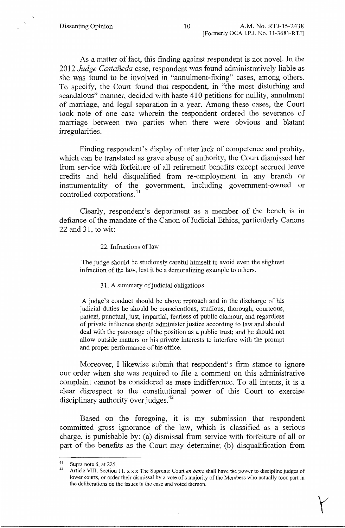As a matter of fact, this finding against respondent is not novel. In the 2012 *Judge Castaneda* case, respondent was found administratively liable as she was found to be involved in "annulment-fixing" cases, among others. To specify, the Court found that respondent, in "the most disturbing and scandalous" manner, decided with haste 410 petitions for nullity, annulment of marriage, and legal separation in a year. Among these cases, the Court took note of one case wherein the respondent ordered the severance of marriage between two parties when there were obvious and blatant irregularities.

Finding respondent's display of utter lack of competence and probity, which can be translated as grave abuse of authority, the Court dismissed her from service with forfeiture of all retirement benefits except accrued leave credits and held disqualified from re-employment in any branch or instrumentality of the government, including government-owned or controlled corporations.<sup>41</sup>

Clearly, respondent's deportment as a member of the bench is in defiance of the mandate of the Canon of Judicial Ethics, particularly Canons 22 and 31, to wit:

#### 22. Infractions of law

The judge should be studiously careful himself to avoid even the slightest infraction of the law, lest it be a demoralizing example to others.

### 31. A summary of judicial obligations

A judge's conduct should be above reproach and in the discharge of his judicial duties he should be conscientious, studious, thorough, courteous, patient, punctual, just, impartial, fearless of public clamour, and regardless of private influence should administer justice according to law and should deal with the patronage of the position as a public trust; and he should not allow outside matters or his private interests to interfere with the prompt and proper performance of his office.

Moreover, I likewise submit that respondent's firm stance to ignore our order when she was required to file a comment on this administrative complaint cannot be considered as mere indifference. To all intents, it is a clear disrespect to the constitutional power of this Court to exercise disciplinary authority over judges.<sup>42</sup>

Based on the foregoing, it is my submission that respondent committed gross ignorance of the law, which is classified as a serious charge, is punishable by: (a) dismissal from service with forfeiture of all or part of the benefits as the Court may determine; (b) disqualification from

y

<sup>&</sup>lt;sup>41</sup> Supra note 6, at 225.

<sup>42</sup> Article VIII. Section 11. x x x The Supreme Court *en bane* shall have the power to discipline judges of lower courts, or order their dismissal by a vote of a majority of the Members who actually took part in the deliberations on the issues in the case and voted thereon.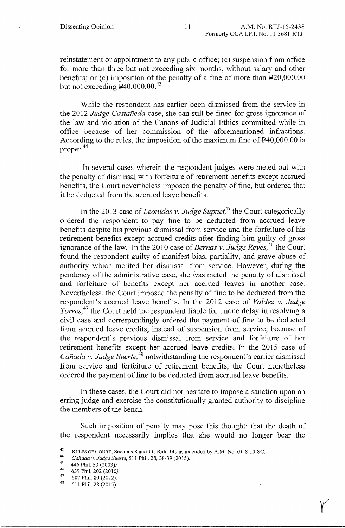reinstatement or appointment to any public office; (c) suspension from office for more than three but not exceeding six months, without salary and other benefits; or (c) imposition of the penalty of a fine of more than  $\text{\textsterling}20,000.00$ but not exceeding  $E40,000.00$ .<sup>43</sup>

While the respondent has earlier been dismissed from the service in the 2012 *Judge Castaneda* case, she can still be fined for gross ignorance of the law and violation of the Canons of Judicial Ethics committed while in office because of her commission of the aforementioned infractions. According to the rules, the imposition of the maximum fine of  $\text{P40,000.00}$  is proper.<sup>44</sup>

In several cases wherein the respondent judges were meted out with the penalty of dismissal with forfeiture of retirement benefits except accrued benefits, the Court nevertheless imposed the penalty of fine, but ordered that it be deducted from the accrued leave benefits.

In the 2013 case of *Leonidas v. Judge Supnet,<sup>45</sup>*the Court categorically ordered the respondent to pay fine to be deducted from accrued leave benefits despite his previous dismissal from service and the forfeiture of his retirement benefits except accrued credits after finding him guilty of gross ignorance of the law. In the 2010 case of *Bernas v. Judge Reyes*,<sup>46</sup> the Court found the respondent guilty of manifest bias, partiality, and grave abuse of authority which merited her dismissal from service. However, during the pendency of the administrative case, she was meted the penalty of dismissal and forfeiture of benefits except her accrued leaves in another case. Nevertheless, the Court imposed the penalty of fine to be deducted from the respondent's accrued leave benefits. In the 2012 case of *Valdez v. Judge Torres*,<sup>47</sup> the Court held the respondent liable for undue delay in resolving a civil case and correspondingly ordered the payment of fine to be deducted from accrued leave credits, instead of suspension from service, because of the respondent's previous dismissal from service and forfeiture of her retirement benefits except her accrued leave credits. In the 2015 case of *Canada v. Judge Suerte,* 48 notwithstanding the respondent's earlier dismissal from service and forfeiture of retirement benefits, the Court nonetheless ordered the payment of fine to be deducted from accrued leave benefits.

In these cases, the Court did not hesitate to impose a sanction upon an erring judge and exercise the constitutionally granted authority to discipline the members of the bench.

Such imposition of penalty may pose this thought: that the death of the respondent necessarily implies that she would no longer bear the

*'(* 

<sup>&</sup>lt;sup>43</sup> RULES OF COURT, Sections 8 and 11, Rule 140 as amended by A.M. No. 01-8-10-SC.

<sup>44</sup>*Canada v. Judge Suerte,* 51 l Phil. 28, 38-39 (2015).

 $^{45}$  446 Phil. 53 (2003);

 $^{46}$  639 Phil. 202 (2010).

 $^{47}$  687 Phil. 80 (2012).

<sup>48 511</sup> Phil.28(2015).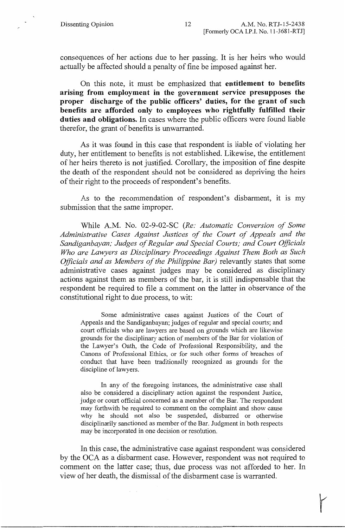consequences of her actions due to her passing. It is her heirs who would actually be affected should a penalty of fine be imposed against her.

On this note, it must be emphasized that **entitlement to benefits arising from employment in the government service presupposes the proper discharge of the public officers' duties, for the grant of such benefits are afforded only to employees who rightfully fulfilled their duties and obligations.** In cases where the public officers were found liable therefor, the grant of benefits is unwarranted.

As it was found in this case that respondent is liable of violating her duty, her entitlement to benefits is not established. Likewise, the entitlement of her heirs thereto is not justified. Corollary, the imposition of fine despite the death of the respondent should not be considered as depriving the heirs of their right to the proceeds of respondent's benefits.

As to the recommendation of respondent's disbarment, it is my submission that the same improper.

While A.M. No. 02-9-02-SC *(Re: Automatic Conversion of Some Administrative Cases Against Justices of the Court of Appeals and the Sandiganbayan; Judges of Regular and Special Courts; and Court Officials Who are Lawyers as Disciplinary Proceedings Against Them Both as Such Officials and as Members of the Philippine Bar)* relevantly states that some administrative cases against judges may be considered as disciplinary actions against them as members of the bar, it is still indispensable that the respondent be required to file a comment on the latter in observance of the constitutional right to due process, to wit:

Some administrative cases against Justices of the Court of Appeals and the Sandiganbayan; judges of regular and special courts; and court officials who are lawyers are based on grounds which are likewise grounds for the disciplinary action of members of the Bar for violation of the Lawyer's Oath, the Code of Professional Responsibility, and the Canons of Professional Ethics, or for such other forms of breaches of conduct that have been traditionally recognized as grounds for the discipline of lawyers.

In any of the foregoing instances, the administrative case shall also be considered a disciplinary action against the respondent Justice, judge or court official concerned as a member of the Bar. The respondent may forthwith be required to comment on the complaint and show cause why he should not also be suspended, disbarred or otherwise disciplinarily sanctioned as member of the Bar. Judgment in both respects may be incorporated in one decision or resolution.

In this case, the administrative case against respondent was considered by the OCA as a disbarment case. However, respondent was not required to comment on the latter case; thus, due process was not afforded to her. In view of her death, the dismissal of the disbarment case is warranted.

r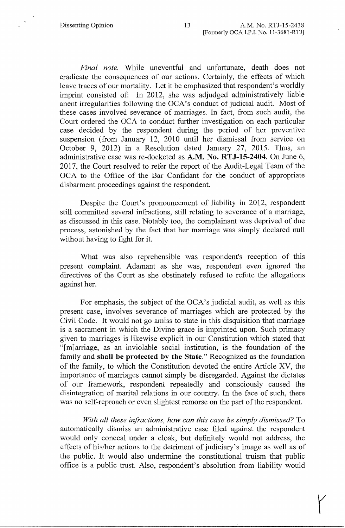*Final note.* While uneventful and unfortunate, death does not eradicate the consequences of our actions. Certainly, the effects of which leave traces of our mortality. Let it be emphasized that respondent's worldly imprint consisted of: In 2012, she was adjudged administratively liable anent irregularities following the OCA's conduct of judicial audit. Most of these cases involved severance of marriages. In fact, from such audit, the Court ordered the OCA to conduct further investigation on each particular case decided by the respondent during the period of her preventive suspension (from January 12, 2010 until her dismissal from service on October 9, 2012) in a Resolution dated January 27, 2015. Thus, an administrative case was re-docketed as **A.M. No. RTJ-15-2404.** On June 6, 2017, the Court resolved to refer the report of the Audit-Legal Team of the OCA to the Office of the Bar Confidant for the conduct of appropriate disbarment proceedings against the respondent.

Despite the Court's pronouncement of liability in 2012, respondent still committed several infractions, still relating to severance of a marriage, as discussed in this case. Notably too, the complainant was deprived of due process, astonished by the fact that her marriage was simply declared null without having to fight for it.

What was also reprehensible was respondent's reception of this present complaint. Adamant as she was, respondent even ignored the directives of the Court as she obstinately refused to refute the allegations against her.

For emphasis, the subject of the OCA's judicial audit, as well as this present case, involves severance of marriages which are protected by the Civil Code. It would not go amiss to state in this disquisition that marriage is a sacrament in which the Divine grace is imprinted upon. Such primacy given to marriages is likewise explicit in our Constitution which stated that "[m]arriage, as an inviolable social institution, is the foundation of the family and **shall be protected by the State."** Recognized as the foundation of the family, to which the Constitution devoted the entire Article XV, the importance of marriages cannot simply be disregarded. Against the dictates of our framework, respondent repeatedly and consciously caused the disintegration of marital relations in our country. In the face of such, there was no self-reproach or even slightest remorse on the part of the respondent.

*With all these infractions, how can this case be simply dismissed?* To automatically dismiss an administrative case filed against the respondent would only conceal under a cloak, but definitely would not address, the effects of his/her actions to the detriment of judiciary's image as well as of the public. It would also undennine the constitutional truism that public office is a public trust. Also, respondent's absolution from liability would

 $\bigg\{$